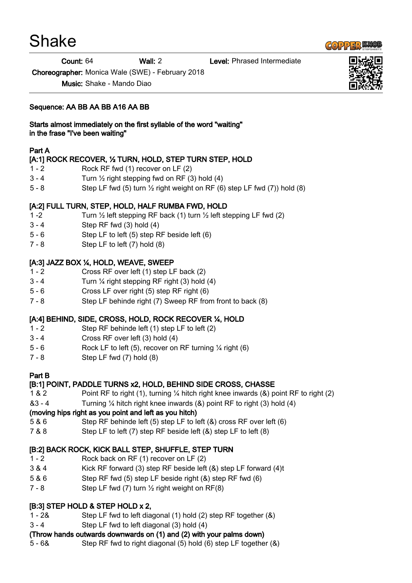# Shake

Count: 64 Wall: 2 Level: Phrased Intermediate

Choreographer: Monica Wale (SWE) - February 2018

Music: Shake - Mando Diao

### Sequence: AA BB AA BB A16 AA BB

Starts almost immediately on the first syllable of the word "waiting" in the frase "I've been waiting"

#### Part A

## [A:1] ROCK RECOVER, ½ TURN, HOLD, STEP TURN STEP, HOLD

- 1 2 Rock RF fwd (1) recover on LF (2)
- $3 4$  Turn  $\frac{1}{2}$  right stepping fwd on RF (3) hold (4)
- 5 8 Step LF fwd (5) turn  $\frac{1}{2}$  right weight on RF (6) step LF fwd (7)) hold (8)

## [A:2] FULL TURN, STEP, HOLD, HALF RUMBA FWD, HOLD

- 1 -2 Turn  $\frac{1}{2}$  left stepping RF back (1) turn  $\frac{1}{2}$  left stepping LF fwd (2)
- 3 4 Step RF fwd (3) hold (4)
- 5 6 Step LF to left (5) step RF beside left (6)
- 7 8 Step LF to left (7) hold (8)

#### [A:3] JAZZ BOX ¼, HOLD, WEAVE, SWEEP

- 1 2 Cross RF over left (1) step LF back (2)
- $3 4$  Turn  $\frac{1}{4}$  right stepping RF right (3) hold (4)
- 5 6 Cross LF over right (5) step RF right (6)
- 7 8 Step LF behinde right (7) Sweep RF from front to back (8)

## [A:4] BEHIND, SIDE, CROSS, HOLD, ROCK RECOVER ¼, HOLD

- 1 2 Step RF behinde left (1) step LF to left (2)
- 3 4 Cross RF over left (3) hold (4)
- 5 6 Rock LF to left  $(5)$ , recover on RF turning  $\frac{1}{4}$  right  $(6)$
- 7 8 Step LF fwd (7) hold (8)

#### Part B

## [B:1] POINT, PADDLE TURNS x2, HOLD, BEHIND SIDE CROSS, CHASSE

- 1 & 2 Point RF to right (1), turning ¼ hitch right knee inwards (&) point RF to right (2)
- &3 4 Turning ¼ hitch right knee inwards (&) point RF to right (3) hold (4)

#### (moving hips right as you point and left as you hitch)

- 5 & 6 Step RF behinde left (5) step LF to left (&) cross RF over left (6)
- 7 & 8 Step LF to left (7) step RF beside left (&) step LF to left (8)

## [B:2] BACK ROCK, KICK BALL STEP, SHUFFLE, STEP TURN

- 1 2 Rock back on RF (1) recover on LF (2)
- 3 & 4 Kick RF forward (3) step RF beside left (&) step LF forward (4)t
- 5 & 6 Step RF fwd (5) step LF beside right (&) step RF fwd (6)
- 7 8 Step LF fwd  $(7)$  turn  $\frac{1}{2}$  right weight on RF $(8)$

## [B:3] STEP HOLD & STEP HOLD x 2,

- 1 2& Step LF fwd to left diagonal (1) hold (2) step RF together (&)
- 3 4 Step LF fwd to left diagonal (3) hold (4)

## (Throw hands outwards downwards on (1) and (2) with your palms down)

5 - 6& Step RF fwd to right diagonal (5) hold (6) step LF together (&)